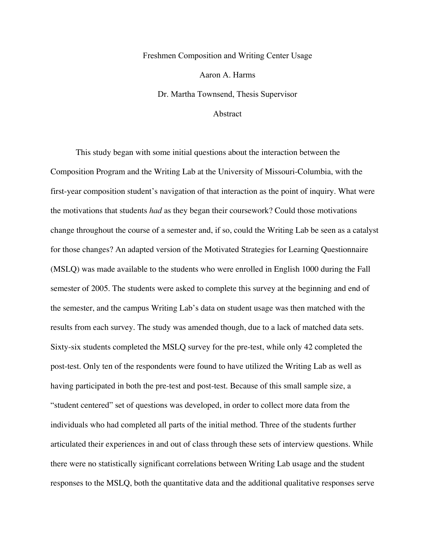## Freshmen Composition and Writing Center Usage Aaron A. Harms Dr. Martha Townsend, Thesis Supervisor

Abstract

This study began with some initial questions about the interaction between the Composition Program and the Writing Lab at the University of Missouri-Columbia, with the first-year composition student's navigation of that interaction as the point of inquiry. What were the motivations that students *had* as they began their coursework? Could those motivations change throughout the course of a semester and, if so, could the Writing Lab be seen as a catalyst for those changes? An adapted version of the Motivated Strategies for Learning Questionnaire (MSLQ) was made available to the students who were enrolled in English 1000 during the Fall semester of 2005. The students were asked to complete this survey at the beginning and end of the semester, and the campus Writing Lab's data on student usage was then matched with the results from each survey. The study was amended though, due to a lack of matched data sets. Sixty-six students completed the MSLQ survey for the pre-test, while only 42 completed the post-test. Only ten of the respondents were found to have utilized the Writing Lab as well as having participated in both the pre-test and post-test. Because of this small sample size, a "student centered" set of questions was developed, in order to collect more data from the individuals who had completed all parts of the initial method. Three of the students further articulated their experiences in and out of class through these sets of interview questions. While there were no statistically significant correlations between Writing Lab usage and the student responses to the MSLQ, both the quantitative data and the additional qualitative responses serve